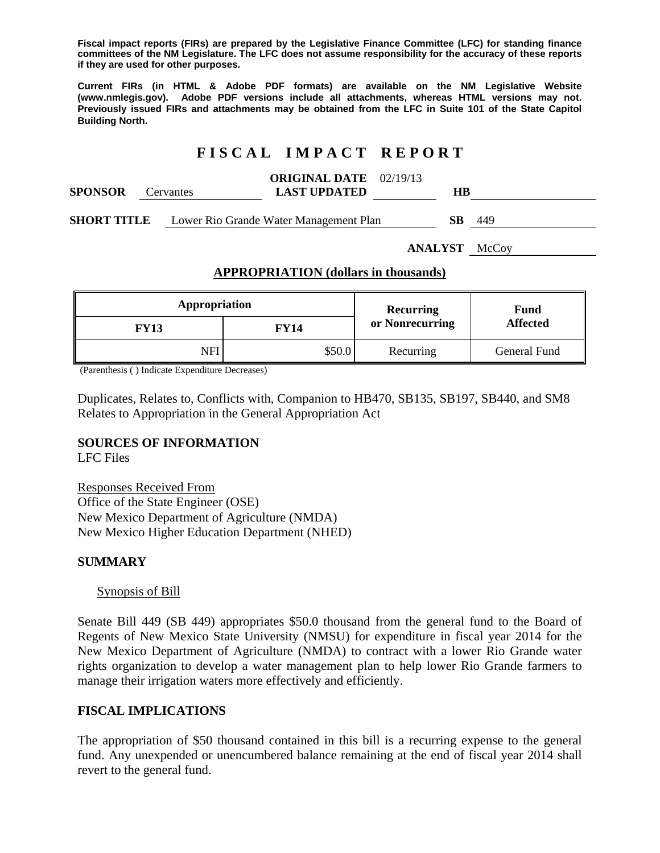**Fiscal impact reports (FIRs) are prepared by the Legislative Finance Committee (LFC) for standing finance committees of the NM Legislature. The LFC does not assume responsibility for the accuracy of these reports if they are used for other purposes.** 

**Current FIRs (in HTML & Adobe PDF formats) are available on the NM Legislative Website (www.nmlegis.gov). Adobe PDF versions include all attachments, whereas HTML versions may not. Previously issued FIRs and attachments may be obtained from the LFC in Suite 101 of the State Capitol Building North.**

# **F I S C A L I M P A C T R E P O R T**

| <b>SPONSOR</b> | Cervantes | <b>ORIGINAL DATE</b> 02/19/13<br><b>LAST UPDATED</b> | HВ |     |
|----------------|-----------|------------------------------------------------------|----|-----|
| SHORT TITLE    |           | Lower Rio Grande Water Management Plan               | SВ | 449 |

**ANALYST** McCoy

## **APPROPRIATION (dollars in thousands)**

| Appropriation |             | Recurring       | Fund<br><b>Affected</b> |  |
|---------------|-------------|-----------------|-------------------------|--|
| <b>FY13</b>   | <b>FY14</b> | or Nonrecurring |                         |  |
| NFI           | \$50.0      | Recurring       | General Fund            |  |

(Parenthesis ( ) Indicate Expenditure Decreases)

Duplicates, Relates to, Conflicts with, Companion to HB470, SB135, SB197, SB440, and SM8 Relates to Appropriation in the General Appropriation Act

### **SOURCES OF INFORMATION**

LFC Files

Responses Received From Office of the State Engineer (OSE) New Mexico Department of Agriculture (NMDA) New Mexico Higher Education Department (NHED)

### **SUMMARY**

### Synopsis of Bill

Senate Bill 449 (SB 449) appropriates \$50.0 thousand from the general fund to the Board of Regents of New Mexico State University (NMSU) for expenditure in fiscal year 2014 for the New Mexico Department of Agriculture (NMDA) to contract with a lower Rio Grande water rights organization to develop a water management plan to help lower Rio Grande farmers to manage their irrigation waters more effectively and efficiently.

### **FISCAL IMPLICATIONS**

The appropriation of \$50 thousand contained in this bill is a recurring expense to the general fund. Any unexpended or unencumbered balance remaining at the end of fiscal year 2014 shall revert to the general fund.